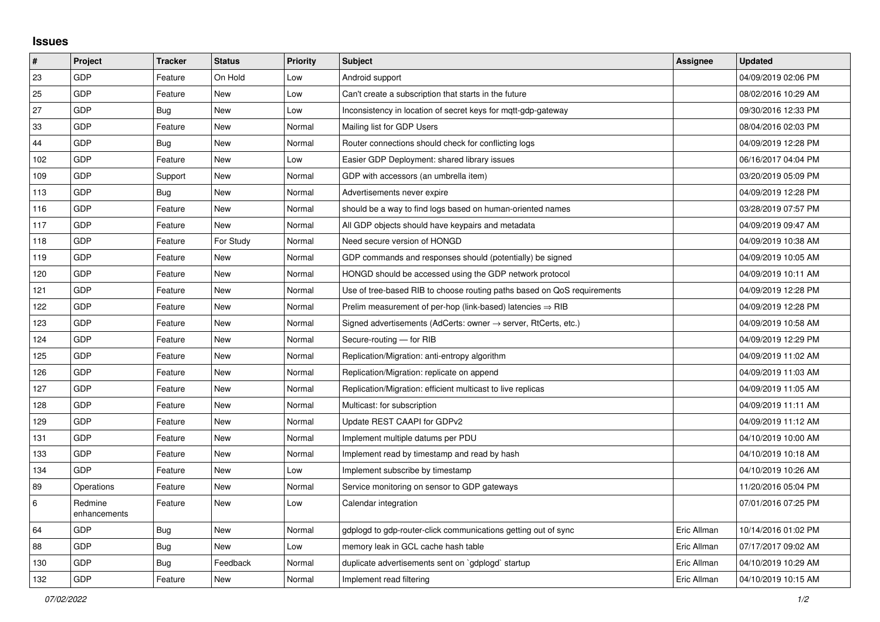## **Issues**

| #   | Project                 | <b>Tracker</b> | <b>Status</b> | Priority | <b>Subject</b>                                                             | <b>Assignee</b> | <b>Updated</b>      |
|-----|-------------------------|----------------|---------------|----------|----------------------------------------------------------------------------|-----------------|---------------------|
| 23  | GDP                     | Feature        | On Hold       | Low      | Android support                                                            |                 | 04/09/2019 02:06 PM |
| 25  | GDP                     | Feature        | <b>New</b>    | Low      | Can't create a subscription that starts in the future                      |                 | 08/02/2016 10:29 AM |
| 27  | GDP                     | Bug            | <b>New</b>    | Low      | Inconsistency in location of secret keys for mgtt-gdp-gateway              |                 | 09/30/2016 12:33 PM |
| 33  | GDP                     | Feature        | <b>New</b>    | Normal   | Mailing list for GDP Users                                                 |                 | 08/04/2016 02:03 PM |
| 44  | GDP                     | <b>Bug</b>     | <b>New</b>    | Normal   | Router connections should check for conflicting logs                       |                 | 04/09/2019 12:28 PM |
| 102 | GDP                     | Feature        | <b>New</b>    | Low      | Easier GDP Deployment: shared library issues                               |                 | 06/16/2017 04:04 PM |
| 109 | GDP                     | Support        | New           | Normal   | GDP with accessors (an umbrella item)                                      |                 | 03/20/2019 05:09 PM |
| 113 | GDP                     | Bug            | <b>New</b>    | Normal   | Advertisements never expire                                                |                 | 04/09/2019 12:28 PM |
| 116 | GDP                     | Feature        | <b>New</b>    | Normal   | should be a way to find logs based on human-oriented names                 |                 | 03/28/2019 07:57 PM |
| 117 | GDP                     | Feature        | <b>New</b>    | Normal   | All GDP objects should have keypairs and metadata                          |                 | 04/09/2019 09:47 AM |
| 118 | GDP                     | Feature        | For Study     | Normal   | Need secure version of HONGD                                               |                 | 04/09/2019 10:38 AM |
| 119 | GDP                     | Feature        | New           | Normal   | GDP commands and responses should (potentially) be signed                  |                 | 04/09/2019 10:05 AM |
| 120 | GDP                     | Feature        | <b>New</b>    | Normal   | HONGD should be accessed using the GDP network protocol                    |                 | 04/09/2019 10:11 AM |
| 121 | GDP                     | Feature        | <b>New</b>    | Normal   | Use of tree-based RIB to choose routing paths based on QoS requirements    |                 | 04/09/2019 12:28 PM |
| 122 | GDP                     | Feature        | <b>New</b>    | Normal   | Prelim measurement of per-hop (link-based) latencies $\Rightarrow$ RIB     |                 | 04/09/2019 12:28 PM |
| 123 | GDP                     | Feature        | <b>New</b>    | Normal   | Signed advertisements (AdCerts: owner $\rightarrow$ server, RtCerts, etc.) |                 | 04/09/2019 10:58 AM |
| 124 | GDP                     | Feature        | New           | Normal   | Secure-routing - for RIB                                                   |                 | 04/09/2019 12:29 PM |
| 125 | GDP                     | Feature        | <b>New</b>    | Normal   | Replication/Migration: anti-entropy algorithm                              |                 | 04/09/2019 11:02 AM |
| 126 | GDP                     | Feature        | <b>New</b>    | Normal   | Replication/Migration: replicate on append                                 |                 | 04/09/2019 11:03 AM |
| 127 | GDP                     | Feature        | <b>New</b>    | Normal   | Replication/Migration: efficient multicast to live replicas                |                 | 04/09/2019 11:05 AM |
| 128 | GDP                     | Feature        | <b>New</b>    | Normal   | Multicast: for subscription                                                |                 | 04/09/2019 11:11 AM |
| 129 | GDP                     | Feature        | <b>New</b>    | Normal   | Update REST CAAPI for GDPv2                                                |                 | 04/09/2019 11:12 AM |
| 131 | GDP                     | Feature        | <b>New</b>    | Normal   | Implement multiple datums per PDU                                          |                 | 04/10/2019 10:00 AM |
| 133 | GDP                     | Feature        | <b>New</b>    | Normal   | Implement read by timestamp and read by hash                               |                 | 04/10/2019 10:18 AM |
| 134 | GDP                     | Feature        | <b>New</b>    | Low      | Implement subscribe by timestamp                                           |                 | 04/10/2019 10:26 AM |
| 89  | Operations              | Feature        | <b>New</b>    | Normal   | Service monitoring on sensor to GDP gateways                               |                 | 11/20/2016 05:04 PM |
| 6   | Redmine<br>enhancements | Feature        | New           | Low      | Calendar integration                                                       |                 | 07/01/2016 07:25 PM |
| 64  | GDP                     | Bug            | <b>New</b>    | Normal   | gdplogd to gdp-router-click communications getting out of sync             | Eric Allman     | 10/14/2016 01:02 PM |
| 88  | GDP                     | <b>Bug</b>     | <b>New</b>    | Low      | memory leak in GCL cache hash table                                        | Eric Allman     | 07/17/2017 09:02 AM |
| 130 | GDP                     | <b>Bug</b>     | Feedback      | Normal   | duplicate advertisements sent on `gdplogd` startup                         | Eric Allman     | 04/10/2019 10:29 AM |
| 132 | GDP                     | Feature        | <b>New</b>    | Normal   | Implement read filtering                                                   | Eric Allman     | 04/10/2019 10:15 AM |